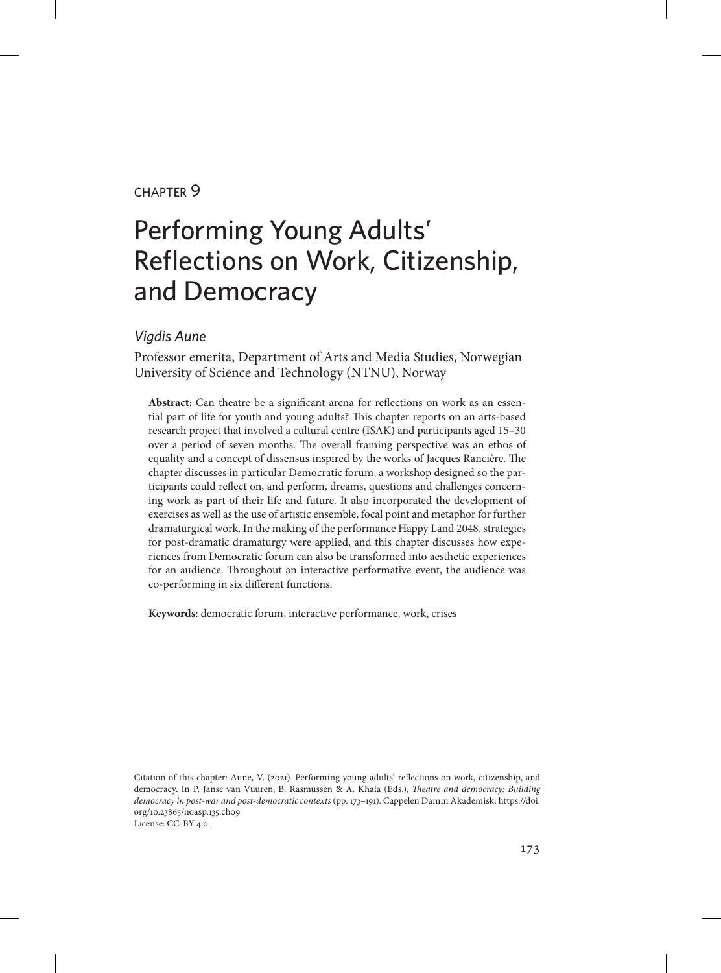#### chapter 9

# Performing Young Adults' Reflections on Work, Citizenship, and Democracy

#### *Vigdis Aune*

Professor emerita, Department of Arts and Media Studies, Norwegian University of Science and Technology (NTNU), Norway

**Abstract:** Can theatre be a significant arena for reflections on work as an essential part of life for youth and young adults? This chapter reports on an arts-based research project that involved a cultural centre (ISAK) and participants aged 15–30 over a period of seven months. The overall framing perspective was an ethos of equality and a concept of dissensus inspired by the works of Jacques Rancière. The chapter discusses in particular Democratic forum, a workshop designed so the participants could reflect on, and perform, dreams, questions and challenges concerning work as part of their life and future. It also incorporated the development of exercises as well as the use of artistic ensemble, focal point and metaphor for further dramaturgical work. In the making of the performance Happy Land 2048, strategies for post-dramatic dramaturgy were applied, and this chapter discusses how experiences from Democratic forum can also be transformed into aesthetic experiences for an audience. Throughout an interactive performative event, the audience was co-performing in six different functions.

**Keywords**: democratic forum, interactive performance, work, crises

Citation of this chapter: Aune, V. (2021). Performing young adults' reflections on work, citizenship, and democracy. In P. Janse van Vuuren, B. Rasmussen & A. Khala (Eds.), *Theatre and democracy: Building democracy in post-war and post-democratic contexts* (pp. 173–191). Cappelen Damm Akademisk. [https://doi.](https://doi.org/10.23865/noasp.135.ch09) [org/10.23865/noasp.135.ch09](https://doi.org/10.23865/noasp.135.ch09) License: CC-BY 4.0.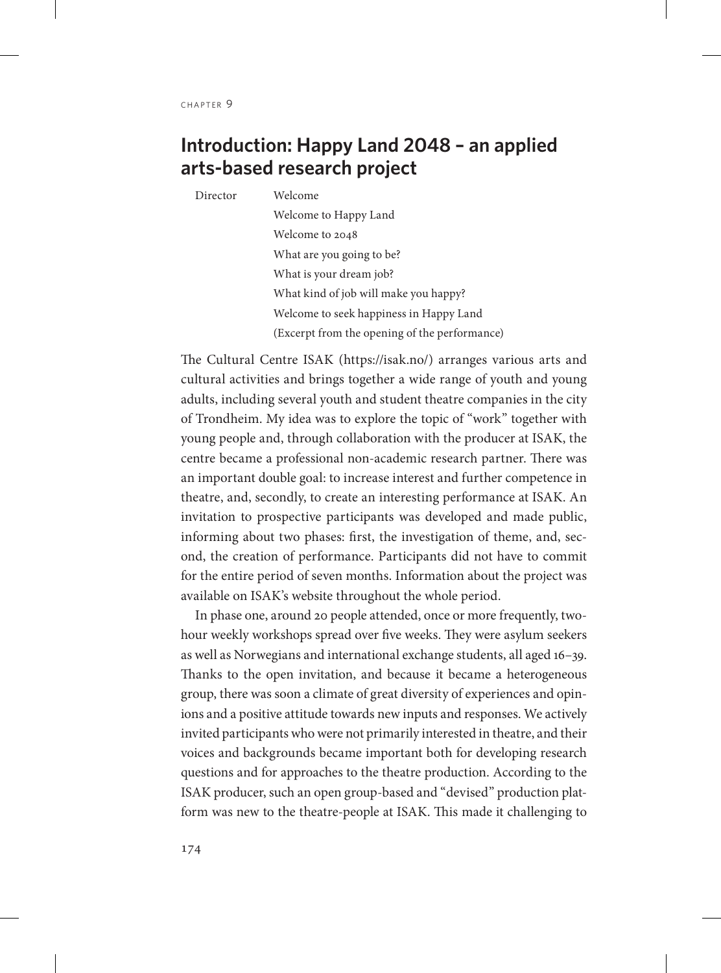# **Introduction: Happy Land 2048 – an applied arts-based research project**

Director Welcome Welcome to Happy Land Welcome to 2048

What are you going to be? What is your dream job? What kind of job will make you happy? Welcome to seek happiness in Happy Land (Excerpt from the opening of the performance)

The Cultural Centre ISAK (https://isak.no/) arranges various arts and cultural activities and brings together a wide range of youth and young adults, including several youth and student theatre companies in the city of Trondheim. My idea was to explore the topic of "work" together with young people and, through collaboration with the producer at ISAK, the centre became a professional non-academic research partner. There was an important double goal: to increase interest and further competence in theatre, and, secondly, to create an interesting performance at ISAK. An invitation to prospective participants was developed and made public, informing about two phases: first, the investigation of theme, and, second, the creation of performance. Participants did not have to commit for the entire period of seven months. Information about the project was available on ISAK's website throughout the whole period.

In phase one, around 20 people attended, once or more frequently, twohour weekly workshops spread over five weeks. They were asylum seekers as well as Norwegians and international exchange students, all aged 16–39. Thanks to the open invitation, and because it became a heterogeneous group, there was soon a climate of great diversity of experiences and opinions and a positive attitude towards new inputs and responses. We actively invited participants who were not primarily interested in theatre, and their voices and backgrounds became important both for developing research questions and for approaches to the theatre production. According to the ISAK producer, such an open group-based and "devised" production platform was new to the theatre-people at ISAK. This made it challenging to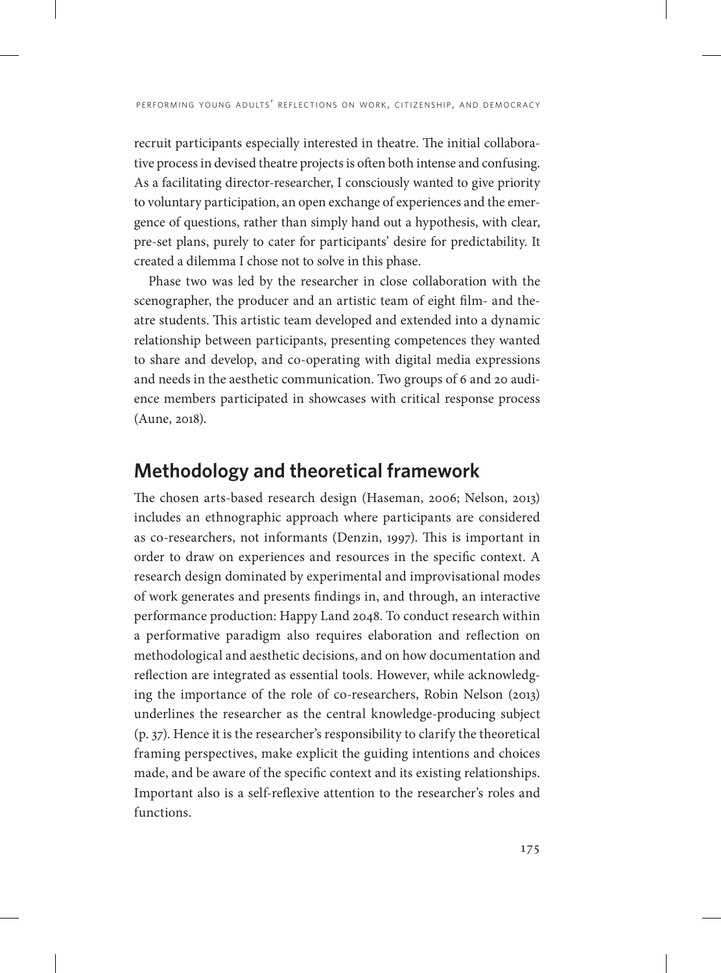recruit participants especially interested in theatre. The initial collaborative process in devised theatre projects is often both intense and confusing. As a facilitating director-researcher, I consciously wanted to give priority to voluntary participation, an open exchange of experiences and the emergence of questions, rather than simply hand out a hypothesis, with clear, pre-set plans, purely to cater for participants' desire for predictability. It created a dilemma I chose not to solve in this phase.

Phase two was led by the researcher in close collaboration with the scenographer, the producer and an artistic team of eight film- and theatre students. This artistic team developed and extended into a dynamic relationship between participants, presenting competences they wanted to share and develop, and co-operating with digital media expressions and needs in the aesthetic communication. Two groups of 6 and 20 audience members participated in showcases with critical response process (Aune, 2018).

## **Methodology and theoretical framework**

The chosen arts-based research design (Haseman, 2006; Nelson, 2013) includes an ethnographic approach where participants are considered as co-researchers, not informants (Denzin, 1997). This is important in order to draw on experiences and resources in the specific context. A research design dominated by experimental and improvisational modes of work generates and presents findings in, and through, an interactive performance production: Happy Land 2048. To conduct research within a performative paradigm also requires elaboration and reflection on methodological and aesthetic decisions, and on how documentation and reflection are integrated as essential tools. However, while acknowledging the importance of the role of co-researchers, Robin Nelson (2013) underlines the researcher as the central knowledge-producing subject (p. 37). Hence it is the researcher's responsibility to clarify the theoretical framing perspectives, make explicit the guiding intentions and choices made, and be aware of the specific context and its existing relationships. Important also is a self-reflexive attention to the researcher's roles and functions.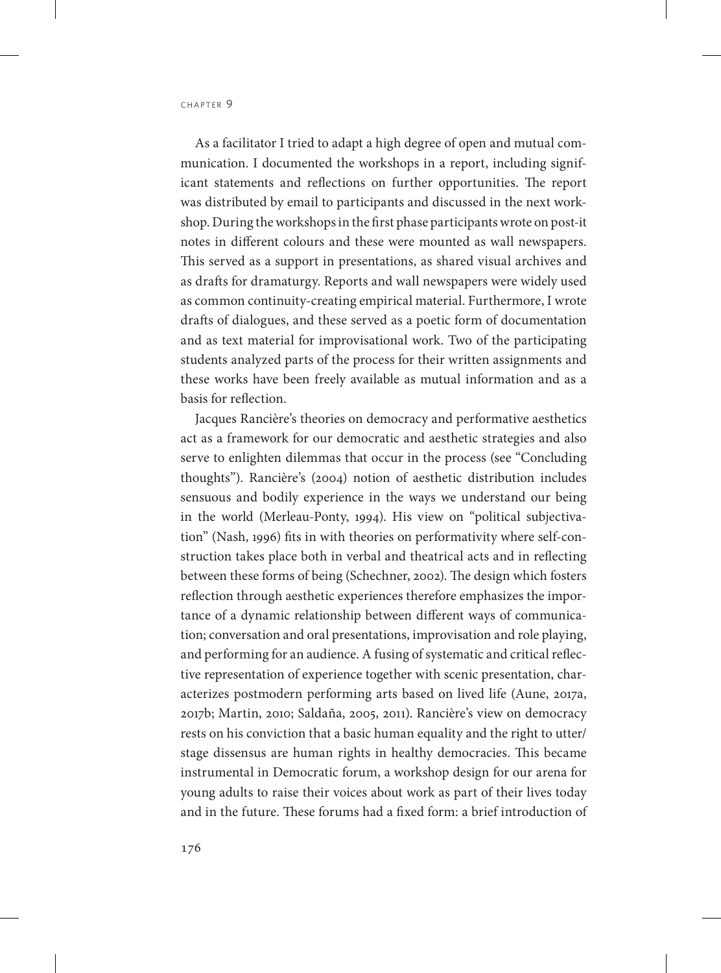As a facilitator I tried to adapt a high degree of open and mutual communication. I documented the workshops in a report, including significant statements and reflections on further opportunities. The report was distributed by email to participants and discussed in the next workshop. During the workshops in the first phase participants wrote on post-it notes in different colours and these were mounted as wall newspapers. This served as a support in presentations, as shared visual archives and as drafts for dramaturgy. Reports and wall newspapers were widely used as common continuity-creating empirical material. Furthermore, I wrote drafts of dialogues, and these served as a poetic form of documentation and as text material for improvisational work. Two of the participating students analyzed parts of the process for their written assignments and these works have been freely available as mutual information and as a basis for reflection.

Jacques Rancière's theories on democracy and performative aesthetics act as a framework for our democratic and aesthetic strategies and also serve to enlighten dilemmas that occur in the process (see "Concluding thoughts"). Rancière's (2004) notion of aesthetic distribution includes sensuous and bodily experience in the ways we understand our being in the world (Merleau-Ponty, 1994). His view on "political subjectivation" (Nash, 1996) fits in with theories on performativity where self-construction takes place both in verbal and theatrical acts and in reflecting between these forms of being (Schechner, 2002). The design which fosters reflection through aesthetic experiences therefore emphasizes the importance of a dynamic relationship between different ways of communication; conversation and oral presentations, improvisation and role playing, and performing for an audience. A fusing of systematic and critical reflective representation of experience together with scenic presentation, characterizes postmodern performing arts based on lived life (Aune, 2017a, 2017b; Martin, 2010; Saldaña, 2005, 2011). Rancière's view on democracy rests on his conviction that a basic human equality and the right to utter/ stage dissensus are human rights in healthy democracies. This became instrumental in Democratic forum, a workshop design for our arena for young adults to raise their voices about work as part of their lives today and in the future. These forums had a fixed form: a brief introduction of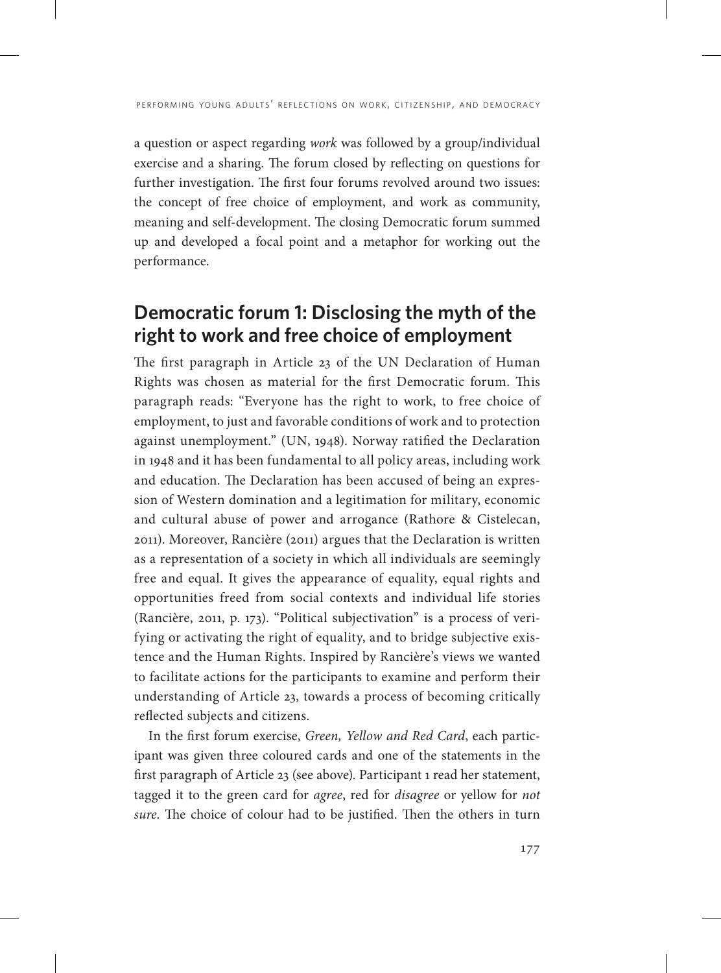a question or aspect regarding *work* was followed by a group/individual exercise and a sharing. The forum closed by reflecting on questions for further investigation. The first four forums revolved around two issues: the concept of free choice of employment, and work as community, meaning and self-development. The closing Democratic forum summed up and developed a focal point and a metaphor for working out the performance.

# **Democratic forum 1: Disclosing the myth of the right to work and free choice of employment**

The first paragraph in Article 23 of the UN Declaration of Human Rights was chosen as material for the first Democratic forum. This paragraph reads: "Everyone has the right to work, to free choice of employment, to just and favorable conditions of work and to protection against unemployment." (UN, 1948). Norway ratified the Declaration in 1948 and it has been fundamental to all policy areas, including work and education. The Declaration has been accused of being an expression of Western domination and a legitimation for military, economic and cultural abuse of power and arrogance (Rathore & Cistelecan, 2011). Moreover, Rancière (2011) argues that the Declaration is written as a representation of a society in which all individuals are seemingly free and equal. It gives the appearance of equality, equal rights and opportunities freed from social contexts and individual life stories (Rancière, 2011, p. 173). "Political subjectivation" is a process of verifying or activating the right of equality, and to bridge subjective existence and the Human Rights. Inspired by Rancière's views we wanted to facilitate actions for the participants to examine and perform their understanding of Article 23, towards a process of becoming critically reflected subjects and citizens.

In the first forum exercise, *Green, Yellow and Red Card*, each participant was given three coloured cards and one of the statements in the first paragraph of Article 23 (see above). Participant 1 read her statement, tagged it to the green card for *agree*, red for *disagree* or yellow for *not sure*. The choice of colour had to be justified. Then the others in turn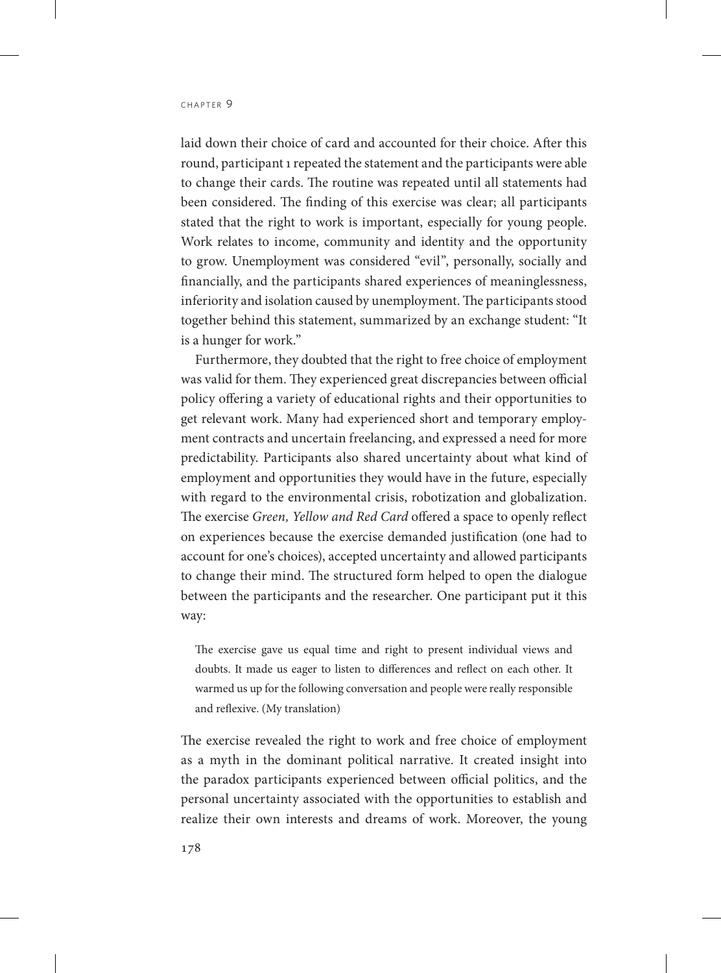laid down their choice of card and accounted for their choice. After this round, participant 1 repeated the statement and the participants were able to change their cards. The routine was repeated until all statements had been considered. The finding of this exercise was clear; all participants stated that the right to work is important, especially for young people. Work relates to income, community and identity and the opportunity to grow. Unemployment was considered "evil", personally, socially and financially, and the participants shared experiences of meaninglessness, inferiority and isolation caused by unemployment. The participants stood together behind this statement, summarized by an exchange student: "It is a hunger for work."

Furthermore, they doubted that the right to free choice of employment was valid for them. They experienced great discrepancies between official policy offering a variety of educational rights and their opportunities to get relevant work. Many had experienced short and temporary employment contracts and uncertain freelancing, and expressed a need for more predictability. Participants also shared uncertainty about what kind of employment and opportunities they would have in the future, especially with regard to the environmental crisis, robotization and globalization. The exercise *Green, Yellow and Red Card* offered a space to openly reflect on experiences because the exercise demanded justification (one had to account for one's choices), accepted uncertainty and allowed participants to change their mind. The structured form helped to open the dialogue between the participants and the researcher. One participant put it this way:

The exercise gave us equal time and right to present individual views and doubts. It made us eager to listen to differences and reflect on each other. It warmed us up for the following conversation and people were really responsible and reflexive. (My translation)

The exercise revealed the right to work and free choice of employment as a myth in the dominant political narrative. It created insight into the paradox participants experienced between official politics, and the personal uncertainty associated with the opportunities to establish and realize their own interests and dreams of work. Moreover, the young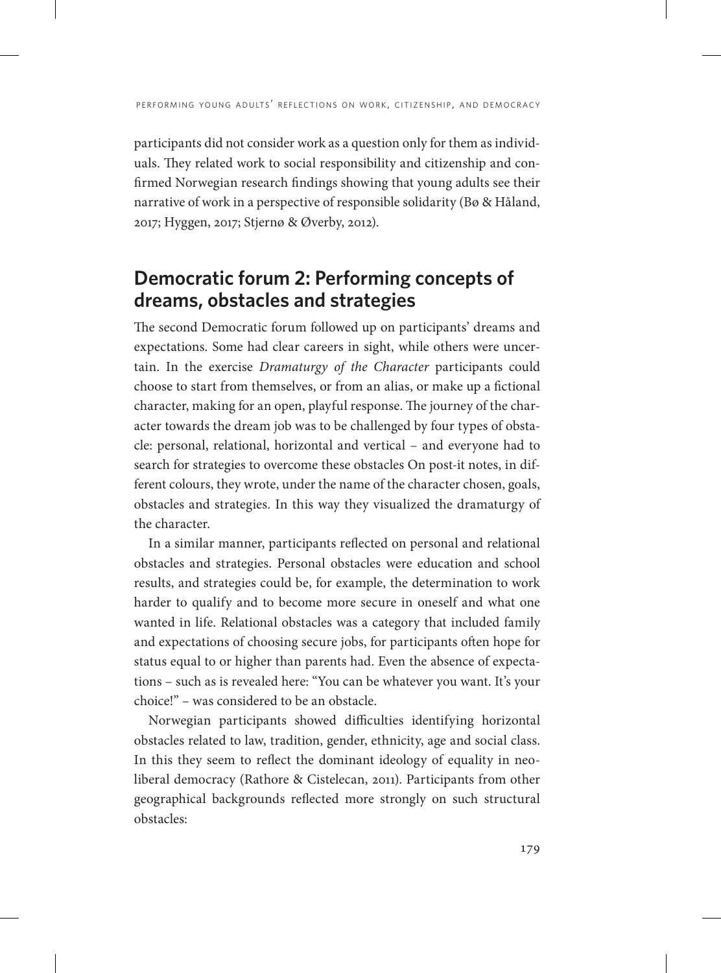participants did not consider work as a question only for them as individuals. They related work to social responsibility and citizenship and confirmed Norwegian research findings showing that young adults see their narrative of work in a perspective of responsible solidarity (Bø & Håland, 2017; Hyggen, 2017; Stjernø & Øverby, 2012).

# **Democratic forum 2: Performing concepts of dreams, obstacles and strategies**

The second Democratic forum followed up on participants' dreams and expectations. Some had clear careers in sight, while others were uncertain. In the exercise *Dramaturgy of the Character* participants could choose to start from themselves, or from an alias, or make up a fictional character, making for an open, playful response. The journey of the character towards the dream job was to be challenged by four types of obstacle: personal, relational, horizontal and vertical – and everyone had to search for strategies to overcome these obstacles On post-it notes, in different colours, they wrote, under the name of the character chosen, goals, obstacles and strategies. In this way they visualized the dramaturgy of the character.

In a similar manner, participants reflected on personal and relational obstacles and strategies. Personal obstacles were education and school results, and strategies could be, for example, the determination to work harder to qualify and to become more secure in oneself and what one wanted in life. Relational obstacles was a category that included family and expectations of choosing secure jobs, for participants often hope for status equal to or higher than parents had. Even the absence of expectations – such as is revealed here: "You can be whatever you want. It's your choice!" – was considered to be an obstacle.

Norwegian participants showed difficulties identifying horizontal obstacles related to law, tradition, gender, ethnicity, age and social class. In this they seem to reflect the dominant ideology of equality in neoliberal democracy (Rathore & Cistelecan, 2011). Participants from other geographical backgrounds reflected more strongly on such structural obstacles: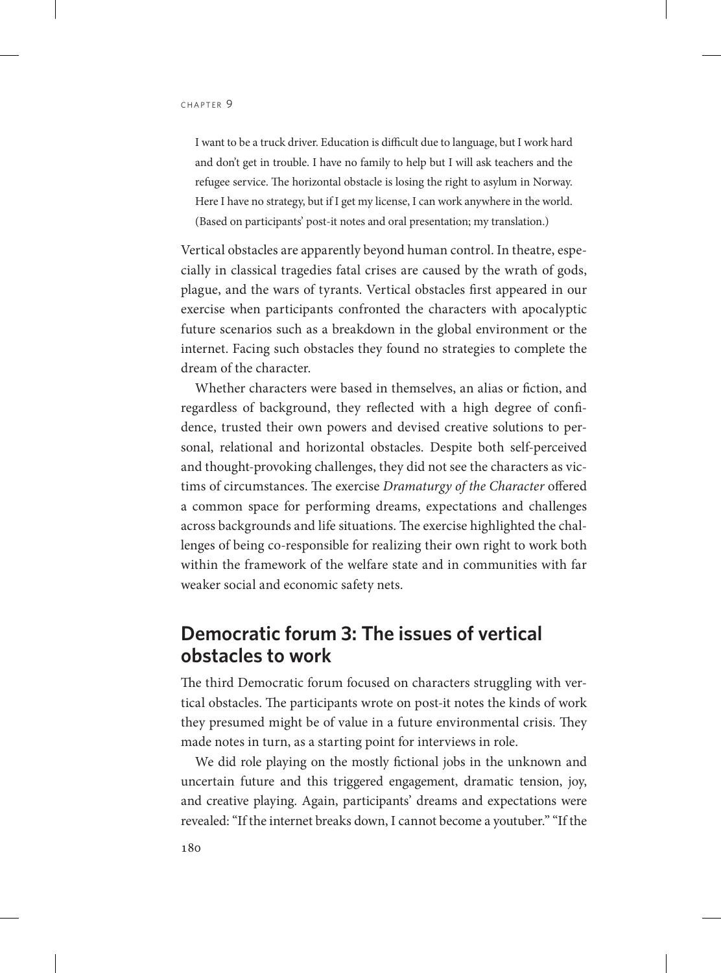I want to be a truck driver. Education is difficult due to language, but I work hard and don't get in trouble. I have no family to help but I will ask teachers and the refugee service. The horizontal obstacle is losing the right to asylum in Norway. Here I have no strategy, but if I get my license, I can work anywhere in the world. (Based on participants' post-it notes and oral presentation; my translation.)

Vertical obstacles are apparently beyond human control. In theatre, especially in classical tragedies fatal crises are caused by the wrath of gods, plague, and the wars of tyrants. Vertical obstacles first appeared in our exercise when participants confronted the characters with apocalyptic future scenarios such as a breakdown in the global environment or the internet. Facing such obstacles they found no strategies to complete the dream of the character.

Whether characters were based in themselves, an alias or fiction, and regardless of background, they reflected with a high degree of confidence, trusted their own powers and devised creative solutions to personal, relational and horizontal obstacles. Despite both self-perceived and thought-provoking challenges, they did not see the characters as victims of circumstances. The exercise *Dramaturgy of the Character* offered a common space for performing dreams, expectations and challenges across backgrounds and life situations. The exercise highlighted the challenges of being co-responsible for realizing their own right to work both within the framework of the welfare state and in communities with far weaker social and economic safety nets.

## **Democratic forum 3: The issues of vertical obstacles to work**

The third Democratic forum focused on characters struggling with vertical obstacles. The participants wrote on post-it notes the kinds of work they presumed might be of value in a future environmental crisis. They made notes in turn, as a starting point for interviews in role.

We did role playing on the mostly fictional jobs in the unknown and uncertain future and this triggered engagement, dramatic tension, joy, and creative playing. Again, participants' dreams and expectations were revealed: "If the internet breaks down, I cannot become a youtuber." "If the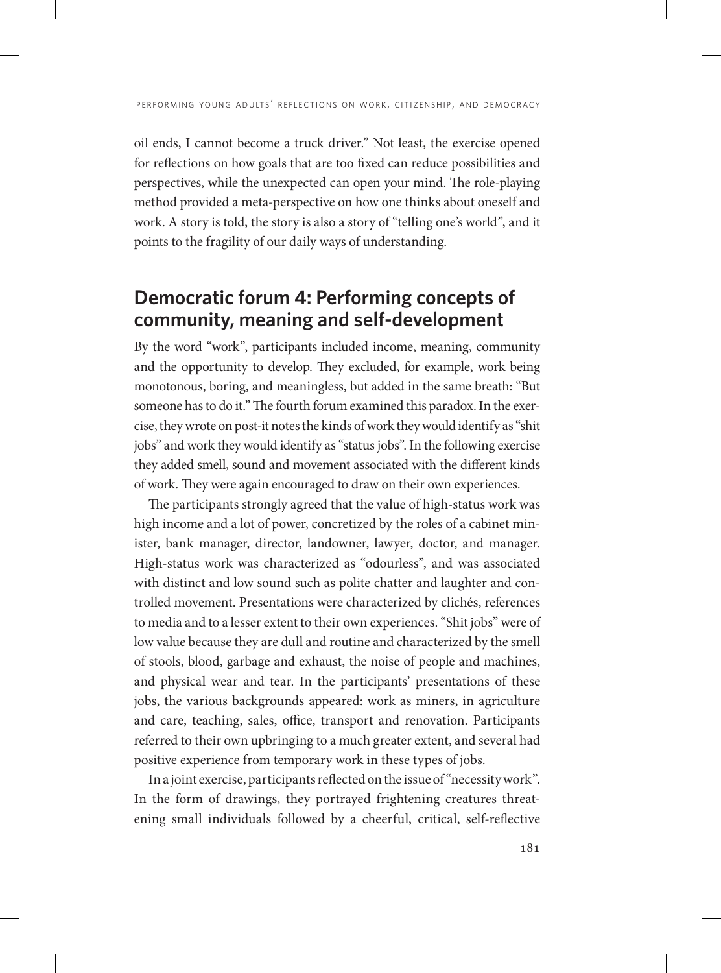oil ends, I cannot become a truck driver." Not least, the exercise opened for reflections on how goals that are too fixed can reduce possibilities and perspectives, while the unexpected can open your mind. The role-playing method provided a meta-perspective on how one thinks about oneself and work. A story is told, the story is also a story of "telling one's world", and it points to the fragility of our daily ways of understanding.

# **Democratic forum 4: Performing concepts of community, meaning and self-development**

By the word "work", participants included income, meaning, community and the opportunity to develop. They excluded, for example, work being monotonous, boring, and meaningless, but added in the same breath: "But someone has to do it." The fourth forum examined this paradox. In the exercise, they wrote on post-it notes the kinds of work they would identify as "shit jobs" and work they would identify as "status jobs". In the following exercise they added smell, sound and movement associated with the different kinds of work. They were again encouraged to draw on their own experiences.

The participants strongly agreed that the value of high-status work was high income and a lot of power, concretized by the roles of a cabinet minister, bank manager, director, landowner, lawyer, doctor, and manager. High-status work was characterized as "odourless", and was associated with distinct and low sound such as polite chatter and laughter and controlled movement. Presentations were characterized by clichés, references to media and to a lesser extent to their own experiences. "Shit jobs" were of low value because they are dull and routine and characterized by the smell of stools, blood, garbage and exhaust, the noise of people and machines, and physical wear and tear. In the participants' presentations of these jobs, the various backgrounds appeared: work as miners, in agriculture and care, teaching, sales, office, transport and renovation. Participants referred to their own upbringing to a much greater extent, and several had positive experience from temporary work in these types of jobs.

In a joint exercise, participants reflected on the issue of "necessity work". In the form of drawings, they portrayed frightening creatures threatening small individuals followed by a cheerful, critical, self-reflective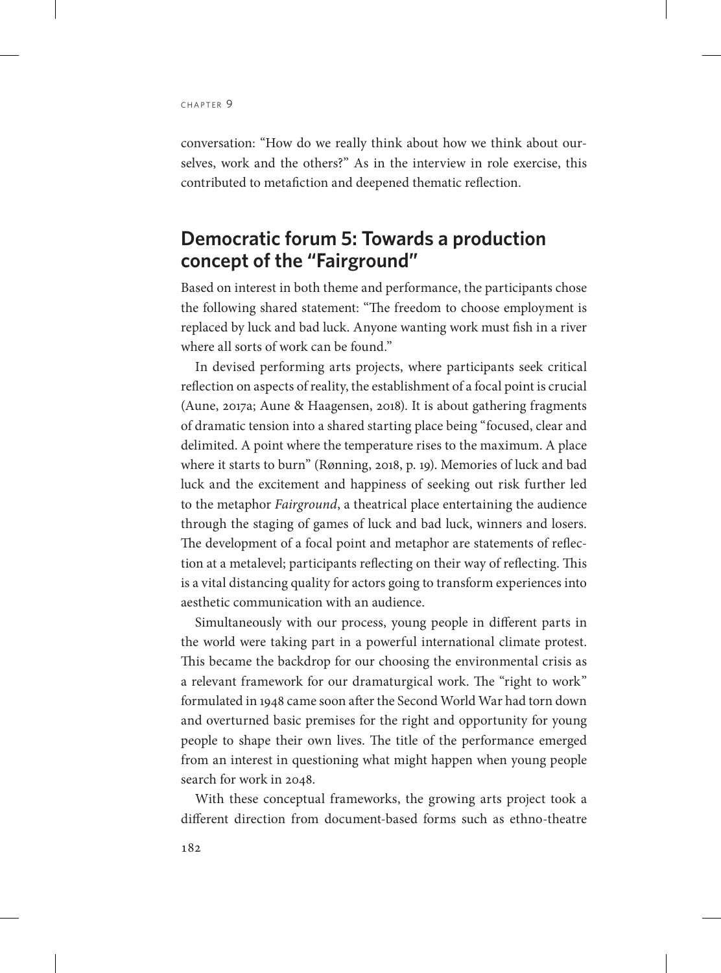conversation: "How do we really think about how we think about ourselves, work and the others?" As in the interview in role exercise, this contributed to metafiction and deepened thematic reflection.

# **Democratic forum 5: Towards a production concept of the "Fairground"**

Based on interest in both theme and performance, the participants chose the following shared statement: "The freedom to choose employment is replaced by luck and bad luck. Anyone wanting work must fish in a river where all sorts of work can be found."

In devised performing arts projects, where participants seek critical reflection on aspects of reality, the establishment of a focal point is crucial (Aune, 2017a; Aune & Haagensen, 2018). It is about gathering fragments of dramatic tension into a shared starting place being "focused, clear and delimited. A point where the temperature rises to the maximum. A place where it starts to burn" (Rønning, 2018, p. 19). Memories of luck and bad luck and the excitement and happiness of seeking out risk further led to the metaphor *Fairground*, a theatrical place entertaining the audience through the staging of games of luck and bad luck, winners and losers. The development of a focal point and metaphor are statements of reflection at a metalevel; participants reflecting on their way of reflecting. This is a vital distancing quality for actors going to transform experiences into aesthetic communication with an audience.

Simultaneously with our process, young people in different parts in the world were taking part in a powerful international climate protest. This became the backdrop for our choosing the environmental crisis as a relevant framework for our dramaturgical work. The "right to work" formulated in 1948 came soon after the Second World War had torn down and overturned basic premises for the right and opportunity for young people to shape their own lives. The title of the performance emerged from an interest in questioning what might happen when young people search for work in 2048.

With these conceptual frameworks, the growing arts project took a different direction from document-based forms such as ethno-theatre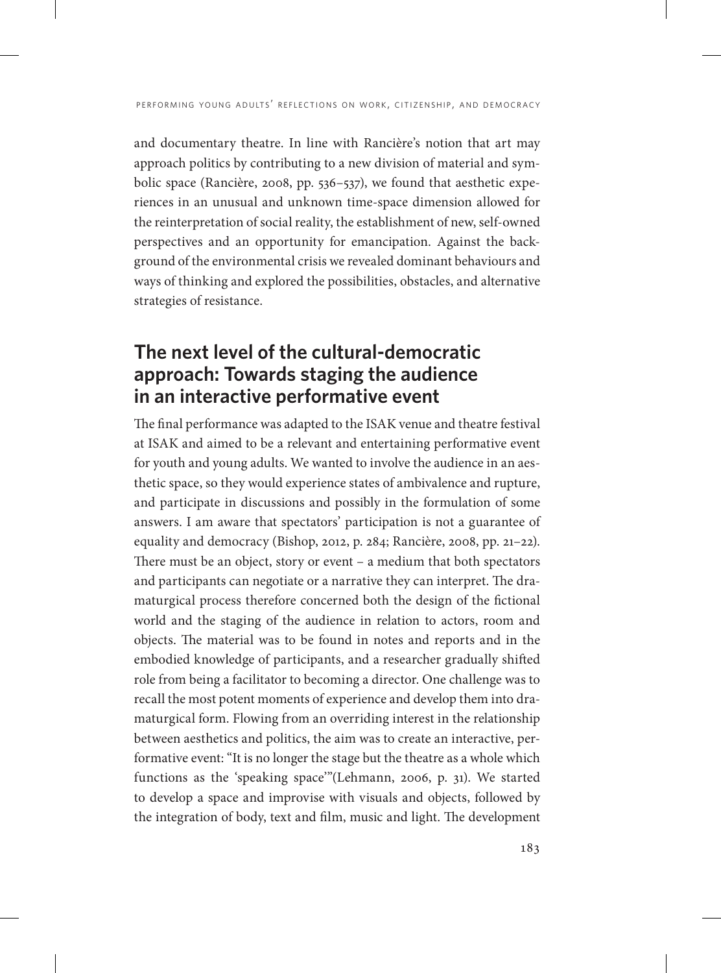and documentary theatre. In line with Rancière's notion that art may approach politics by contributing to a new division of material and symbolic space (Rancière, 2008, pp. 536–537), we found that aesthetic experiences in an unusual and unknown time-space dimension allowed for the reinterpretation of social reality, the establishment of new, self-owned perspectives and an opportunity for emancipation. Against the background of the environmental crisis we revealed dominant behaviours and ways of thinking and explored the possibilities, obstacles, and alternative strategies of resistance.

# **The next level of the cultural-democratic approach: Towards staging the audience in an interactive performative event**

The final performance was adapted to the ISAK venue and theatre festival at ISAK and aimed to be a relevant and entertaining performative event for youth and young adults. We wanted to involve the audience in an aesthetic space, so they would experience states of ambivalence and rupture, and participate in discussions and possibly in the formulation of some answers. I am aware that spectators' participation is not a guarantee of equality and democracy (Bishop, 2012, p. 284; Rancière, 2008, pp. 21–22). There must be an object, story or event – a medium that both spectators and participants can negotiate or a narrative they can interpret. The dramaturgical process therefore concerned both the design of the fictional world and the staging of the audience in relation to actors, room and objects. The material was to be found in notes and reports and in the embodied knowledge of participants, and a researcher gradually shifted role from being a facilitator to becoming a director. One challenge was to recall the most potent moments of experience and develop them into dramaturgical form. Flowing from an overriding interest in the relationship between aesthetics and politics, the aim was to create an interactive, performative event: "It is no longer the stage but the theatre as a whole which functions as the 'speaking space'"(Lehmann, 2006, p. 31). We started to develop a space and improvise with visuals and objects, followed by the integration of body, text and film, music and light. The development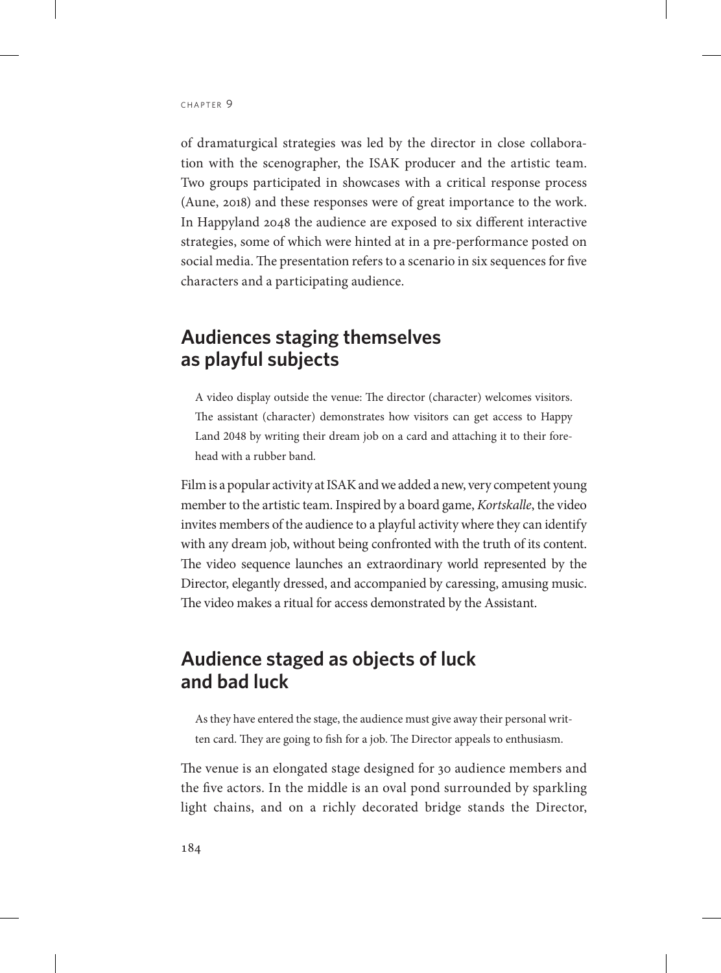of dramaturgical strategies was led by the director in close collaboration with the scenographer, the ISAK producer and the artistic team. Two groups participated in showcases with a critical response process (Aune, 2018) and these responses were of great importance to the work. In Happyland 2048 the audience are exposed to six different interactive strategies, some of which were hinted at in a pre-performance posted on social media. The presentation refers to a scenario in six sequences for five characters and a participating audience.

## **Audiences staging themselves as playful subjects**

A video display outside the venue: The director (character) welcomes visitors. The assistant (character) demonstrates how visitors can get access to Happy Land 2048 by writing their dream job on a card and attaching it to their forehead with a rubber band.

Film is a popular activity at ISAK and we added a new, very competent young member to the artistic team. Inspired by a board game, *Kortskalle*, the video invites members of the audience to a playful activity where they can identify with any dream job, without being confronted with the truth of its content. The video sequence launches an extraordinary world represented by the Director, elegantly dressed, and accompanied by caressing, amusing music. The video makes a ritual for access demonstrated by the Assistant.

# **Audience staged as objects of luck and bad luck**

As they have entered the stage, the audience must give away their personal written card. They are going to fish for a job. The Director appeals to enthusiasm.

The venue is an elongated stage designed for 30 audience members and the five actors. In the middle is an oval pond surrounded by sparkling light chains, and on a richly decorated bridge stands the Director,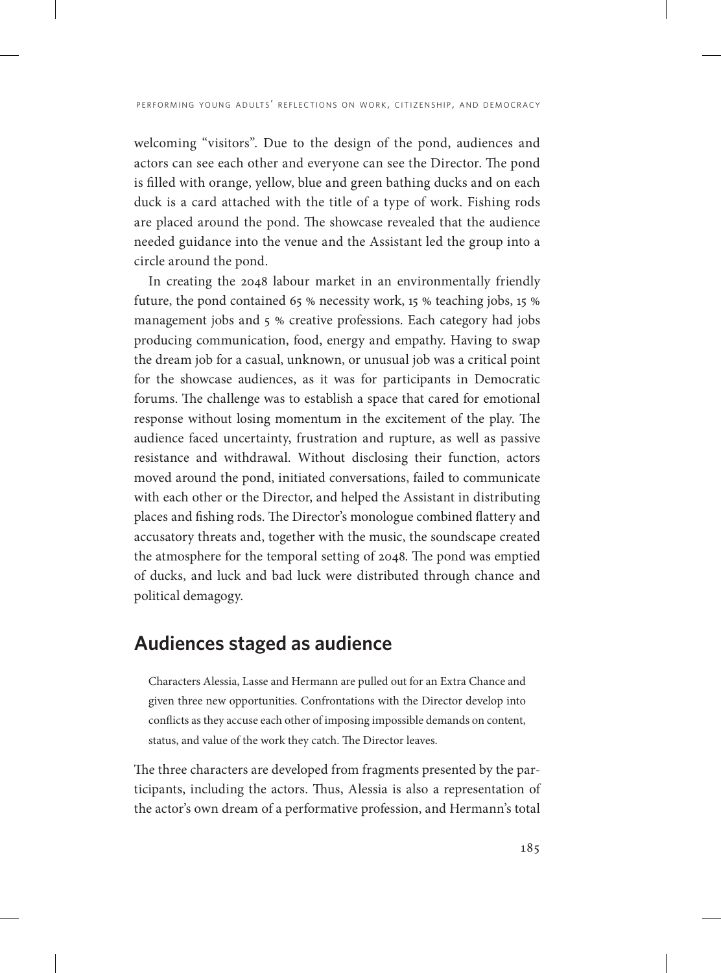welcoming "visitors". Due to the design of the pond, audiences and actors can see each other and everyone can see the Director. The pond is filled with orange, yellow, blue and green bathing ducks and on each duck is a card attached with the title of a type of work. Fishing rods are placed around the pond. The showcase revealed that the audience needed guidance into the venue and the Assistant led the group into a circle around the pond.

In creating the 2048 labour market in an environmentally friendly future, the pond contained 65 % necessity work, 15 % teaching jobs, 15 % management jobs and 5 % creative professions. Each category had jobs producing communication, food, energy and empathy. Having to swap the dream job for a casual, unknown, or unusual job was a critical point for the showcase audiences, as it was for participants in Democratic forums. The challenge was to establish a space that cared for emotional response without losing momentum in the excitement of the play. The audience faced uncertainty, frustration and rupture, as well as passive resistance and withdrawal. Without disclosing their function, actors moved around the pond, initiated conversations, failed to communicate with each other or the Director, and helped the Assistant in distributing places and fishing rods. The Director's monologue combined flattery and accusatory threats and, together with the music, the soundscape created the atmosphere for the temporal setting of 2048. The pond was emptied of ducks, and luck and bad luck were distributed through chance and political demagogy.

# **Audiences staged as audience**

Characters Alessia, Lasse and Hermann are pulled out for an Extra Chance and given three new opportunities. Confrontations with the Director develop into conflicts as they accuse each other of imposing impossible demands on content, status, and value of the work they catch. The Director leaves.

The three characters are developed from fragments presented by the participants, including the actors. Thus, Alessia is also a representation of the actor's own dream of a performative profession, and Hermann's total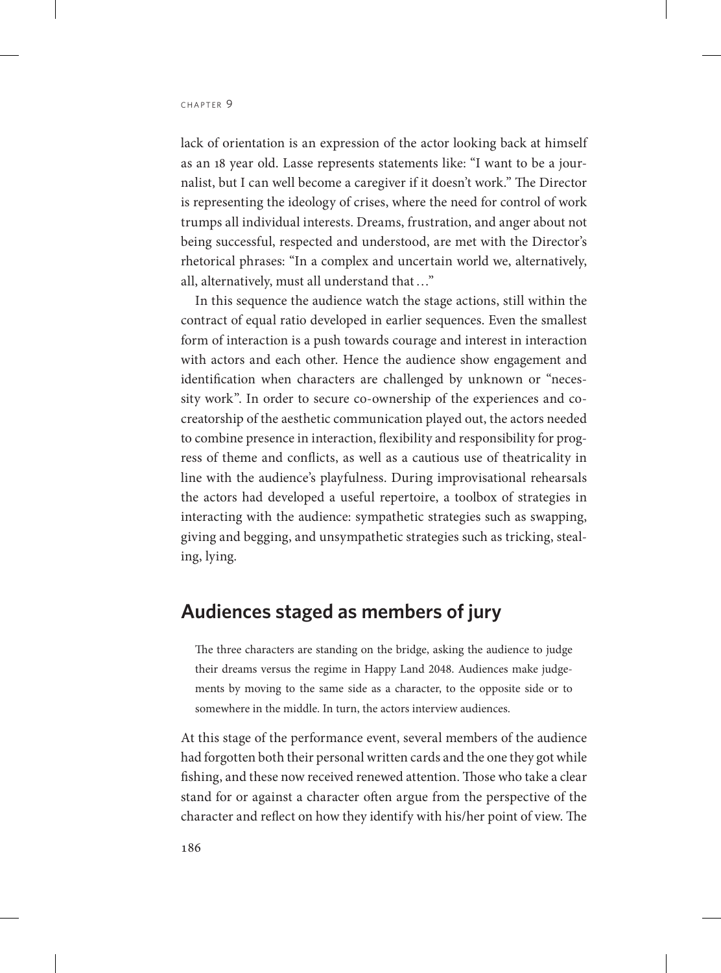lack of orientation is an expression of the actor looking back at himself as an 18 year old. Lasse represents statements like: "I want to be a journalist, but I can well become a caregiver if it doesn't work." The Director is representing the ideology of crises, where the need for control of work trumps all individual interests. Dreams, frustration, and anger about not being successful, respected and understood, are met with the Director's rhetorical phrases: "In a complex and uncertain world we, alternatively, all, alternatively, must all understand that…"

In this sequence the audience watch the stage actions, still within the contract of equal ratio developed in earlier sequences. Even the smallest form of interaction is a push towards courage and interest in interaction with actors and each other. Hence the audience show engagement and identification when characters are challenged by unknown or "necessity work". In order to secure co-ownership of the experiences and cocreatorship of the aesthetic communication played out, the actors needed to combine presence in interaction, flexibility and responsibility for progress of theme and conflicts, as well as a cautious use of theatricality in line with the audience's playfulness. During improvisational rehearsals the actors had developed a useful repertoire, a toolbox of strategies in interacting with the audience: sympathetic strategies such as swapping, giving and begging, and unsympathetic strategies such as tricking, stealing, lying.

#### **Audiences staged as members of jury**

The three characters are standing on the bridge, asking the audience to judge their dreams versus the regime in Happy Land 2048. Audiences make judgements by moving to the same side as a character, to the opposite side or to somewhere in the middle. In turn, the actors interview audiences.

At this stage of the performance event, several members of the audience had forgotten both their personal written cards and the one they got while fishing, and these now received renewed attention. Those who take a clear stand for or against a character often argue from the perspective of the character and reflect on how they identify with his/her point of view. The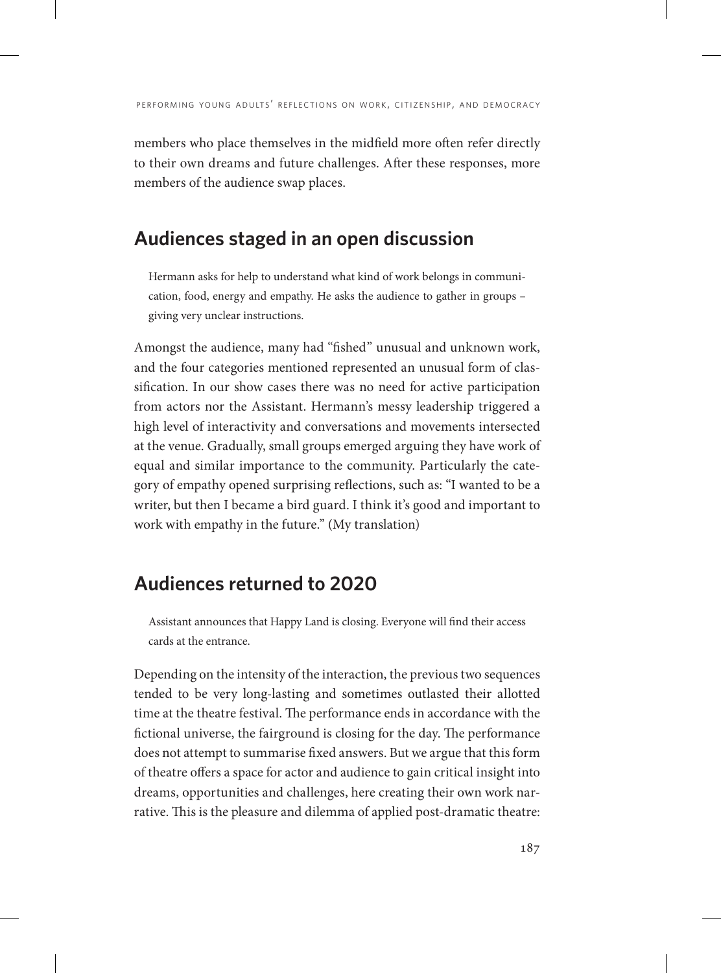members who place themselves in the midfield more often refer directly to their own dreams and future challenges. After these responses, more members of the audience swap places.

# **Audiences staged in an open discussion**

Hermann asks for help to understand what kind of work belongs in communication, food, energy and empathy. He asks the audience to gather in groups – giving very unclear instructions.

Amongst the audience, many had "fished" unusual and unknown work, and the four categories mentioned represented an unusual form of classification. In our show cases there was no need for active participation from actors nor the Assistant. Hermann's messy leadership triggered a high level of interactivity and conversations and movements intersected at the venue. Gradually, small groups emerged arguing they have work of equal and similar importance to the community. Particularly the category of empathy opened surprising reflections, such as: "I wanted to be a writer, but then I became a bird guard. I think it's good and important to work with empathy in the future." (My translation)

# **Audiences returned to 2020**

Assistant announces that Happy Land is closing. Everyone will find their access cards at the entrance.

Depending on the intensity of the interaction, the previous two sequences tended to be very long-lasting and sometimes outlasted their allotted time at the theatre festival. The performance ends in accordance with the fictional universe, the fairground is closing for the day. The performance does not attempt to summarise fixed answers. But we argue that this form of theatre offers a space for actor and audience to gain critical insight into dreams, opportunities and challenges, here creating their own work narrative. This is the pleasure and dilemma of applied post-dramatic theatre: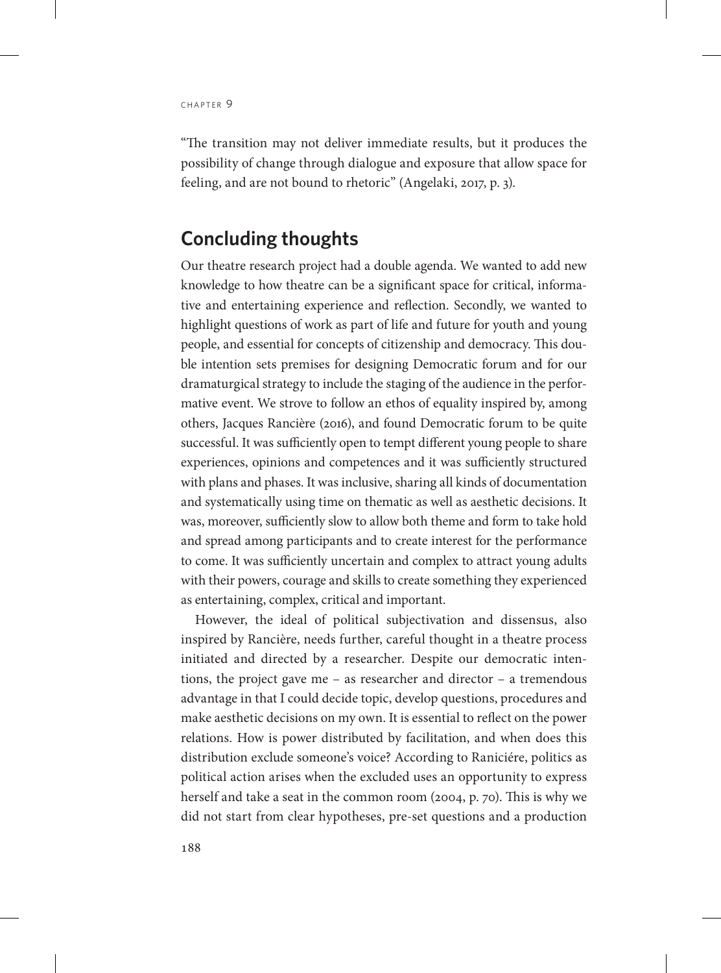"The transition may not deliver immediate results, but it produces the possibility of change through dialogue and exposure that allow space for feeling, and are not bound to rhetoric" (Angelaki, 2017, p. 3).

## **Concluding thoughts**

Our theatre research project had a double agenda. We wanted to add new knowledge to how theatre can be a significant space for critical, informative and entertaining experience and reflection. Secondly, we wanted to highlight questions of work as part of life and future for youth and young people, and essential for concepts of citizenship and democracy. This double intention sets premises for designing Democratic forum and for our dramaturgical strategy to include the staging of the audience in the performative event. We strove to follow an ethos of equality inspired by, among others, Jacques Rancière (2016), and found Democratic forum to be quite successful. It was sufficiently open to tempt different young people to share experiences, opinions and competences and it was sufficiently structured with plans and phases. It was inclusive, sharing all kinds of documentation and systematically using time on thematic as well as aesthetic decisions. It was, moreover, sufficiently slow to allow both theme and form to take hold and spread among participants and to create interest for the performance to come. It was sufficiently uncertain and complex to attract young adults with their powers, courage and skills to create something they experienced as entertaining, complex, critical and important.

However, the ideal of political subjectivation and dissensus, also inspired by Rancière, needs further, careful thought in a theatre process initiated and directed by a researcher. Despite our democratic intentions, the project gave me – as researcher and director – a tremendous advantage in that I could decide topic, develop questions, procedures and make aesthetic decisions on my own. It is essential to reflect on the power relations. How is power distributed by facilitation, and when does this distribution exclude someone's voice? According to Raniciére, politics as political action arises when the excluded uses an opportunity to express herself and take a seat in the common room (2004, p. 70). This is why we did not start from clear hypotheses, pre-set questions and a production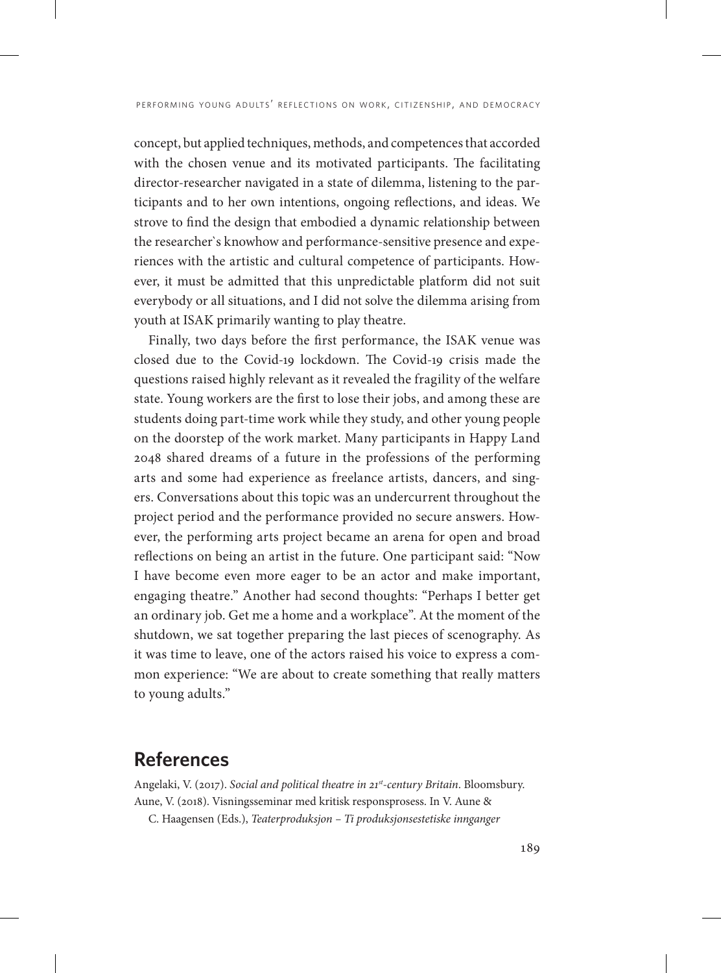concept, but applied techniques, methods, and competences that accorded with the chosen venue and its motivated participants. The facilitating director-researcher navigated in a state of dilemma, listening to the participants and to her own intentions, ongoing reflections, and ideas. We strove to find the design that embodied a dynamic relationship between the researcher`s knowhow and performance-sensitive presence and experiences with the artistic and cultural competence of participants. However, it must be admitted that this unpredictable platform did not suit everybody or all situations, and I did not solve the dilemma arising from youth at ISAK primarily wanting to play theatre.

Finally, two days before the first performance, the ISAK venue was closed due to the Covid-19 lockdown. The Covid-19 crisis made the questions raised highly relevant as it revealed the fragility of the welfare state. Young workers are the first to lose their jobs, and among these are students doing part-time work while they study, and other young people on the doorstep of the work market. Many participants in Happy Land 2048 shared dreams of a future in the professions of the performing arts and some had experience as freelance artists, dancers, and singers. Conversations about this topic was an undercurrent throughout the project period and the performance provided no secure answers. However, the performing arts project became an arena for open and broad reflections on being an artist in the future. One participant said: "Now I have become even more eager to be an actor and make important, engaging theatre." Another had second thoughts: "Perhaps I better get an ordinary job. Get me a home and a workplace". At the moment of the shutdown, we sat together preparing the last pieces of scenography. As it was time to leave, one of the actors raised his voice to express a common experience: "We are about to create something that really matters to young adults."

#### **References**

Angelaki, V. (2017). *Social and political theatre in 21st-century Britain*. Bloomsbury. Aune, V. (2018). Visningsseminar med kritisk responsprosess. In V. Aune &

C. Haagensen (Eds.), *Teaterproduksjon – Ti produksjonsestetiske innganger*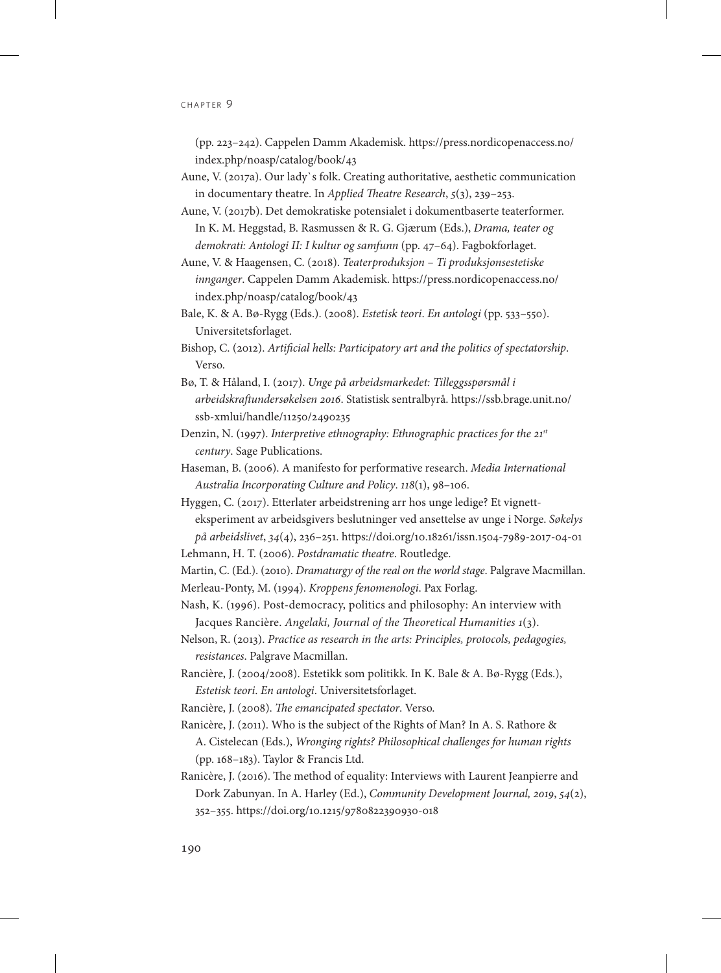(pp. 223–242). Cappelen Damm Akademisk. [https://press.nordicopenaccess.no/](https://press.nordicopenaccess.no/index.php/noasp/catalog/book/43) [index.php/noasp/catalog/book/43](https://press.nordicopenaccess.no/index.php/noasp/catalog/book/43)

Aune, V. (2017a). Our lady`s folk. Creating authoritative, aesthetic communication in documentary theatre. In *Applied Theatre Research*, *5*(3), 239–253.

Aune, V. (2017b). Det demokratiske potensialet i dokumentbaserte teaterformer. In K. M. Heggstad, B. Rasmussen & R. G. Gjærum (Eds.), *Drama, teater og demokrati: Antologi II: I kultur og samfunn* (pp. 47–64). Fagbokforlaget.

Aune, V. & Haagensen, C. (2018). *Teaterproduksjon – Ti produksjonsestetiske innganger*. Cappelen Damm Akademisk. [https://press.nordicopenaccess.no/](https://press.nordicopenaccess.no/index.php/noasp/catalog/book/43) [index.php/noasp/catalog/book/43](https://press.nordicopenaccess.no/index.php/noasp/catalog/book/43)

Bale, K. & A. Bø-Rygg (Eds.). (2008). *Estetisk teori*. *En antologi* (pp. 533–550). Universitetsforlaget.

Bishop, C. (2012). *Artificial hells: Participatory art and the politics of spectatorship*. Verso.

Bø, T. & Håland, I. (2017). *Unge på arbeidsmarkedet: Tilleggsspørsmål i arbeidskraftundersøkelsen 2016*. Statistisk sentralbyrå. [https://ssb.brage.unit.no/](https://ssb.brage.unit.no/ssb-xmlui/handle/11250/2490235) [ssb-xmlui/handle/11250/2490235](https://ssb.brage.unit.no/ssb-xmlui/handle/11250/2490235)

Denzin, N. (1997). *Interpretive ethnography: Ethnographic practices for the 21st century*. Sage Publications.

Haseman, B. (2006). A manifesto for performative research. *Media International Australia Incorporating Culture and Policy*. *118*(1), 98–106.

Hyggen, C. (2017). Etterlater arbeidstrening arr hos unge ledige? Et vignetteksperiment av arbeidsgivers beslutninger ved ansettelse av unge i Norge. *Søkelys på arbeidslivet*, *34*(4), 236–251. https://doi.org/10.18261/issn.1504-7989-2017-04-01 Lehmann, H. T. (2006). *Postdramatic theatre*. Routledge.

Martin, C. (Ed.). (2010). *Dramaturgy of the real on the world stage*. Palgrave Macmillan.

Merleau-Ponty, M. (1994). *Kroppens fenomenologi*. Pax Forlag.

- Nash, K. (1996). Post-democracy, politics and philosophy: An interview with Jacques Rancière. *Angelaki, Journal of the Theoretical Humanities 1*(3).
- Nelson, R. (2013). *Practice as research in the arts: Principles, protocols, pedagogies, resistances*. Palgrave Macmillan.
- Rancière, J. (2004/2008). Estetikk som politikk. In K. Bale & A. Bø-Rygg (Eds.), *Estetisk teori*. *En antologi*. Universitetsforlaget.

Rancière, J. (2008). *The emancipated spectator*. Verso.

- Ranicère, J. (2011). Who is the subject of the Rights of Man? In A. S. Rathore & A. Cistelecan (Eds.), *Wronging rights? Philosophical challenges for human rights* (pp. 168–183). Taylor & Francis Ltd.
- Ranicère, J. (2016). The method of equality: Interviews with Laurent Jeanpierre and Dork Zabunyan. In A. Harley (Ed.), *Community Development Journal, 2019*, *54*(2), 352–355. https://doi.org/10.1215/9780822390930-018